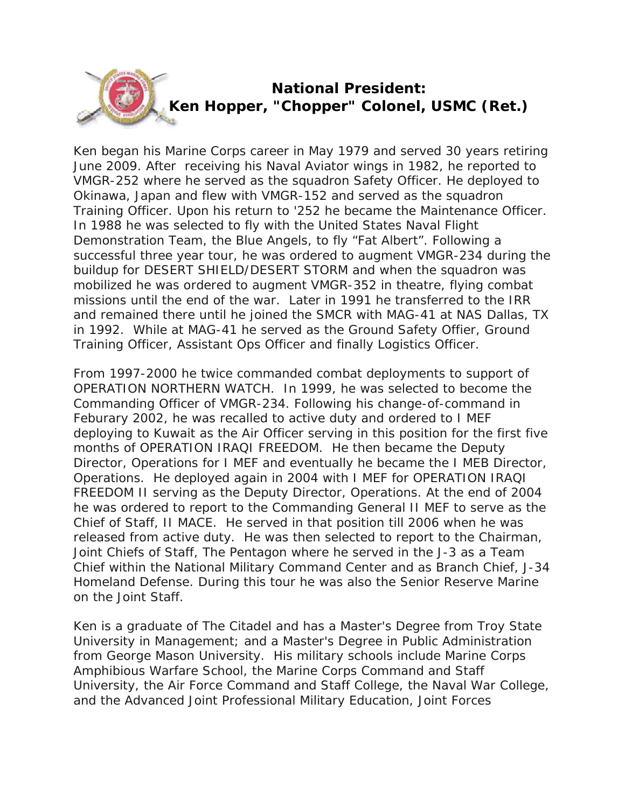

Ken began his Marine Corps career in May 1979 and served 30 years retiring June 2009. After receiving his Naval Aviator wings in 1982, he reported to VMGR-252 where he served as the squadron Safety Officer. He deployed to Okinawa, Japan and flew with VMGR-152 and served as the squadron Training Officer. Upon his return to '252 he became the Maintenance Officer. In 1988 he was selected to fly with the United States Naval Flight Demonstration Team, the Blue Angels, to fly "Fat Albert". Following a successful three year tour, he was ordered to augment VMGR-234 during the buildup for DESERT SHIELD/DESERT STORM and when the squadron was mobilized he was ordered to augment VMGR-352 in theatre, flying combat missions until the end of the war. Later in 1991 he transferred to the IRR and remained there until he joined the SMCR with MAG-41 at NAS Dallas, TX in 1992. While at MAG-41 he served as the Ground Safety Offier, Ground Training Officer, Assistant Ops Officer and finally Logistics Officer.

From 1997-2000 he twice commanded combat deployments to support of OPERATION NORTHERN WATCH. In 1999, he was selected to become the Commanding Officer of VMGR-234. Following his change-of-command in Feburary 2002, he was recalled to active duty and ordered to I MEF deploying to Kuwait as the Air Officer serving in this position for the first five months of OPERATION IRAQI FREEDOM. He then became the Deputy Director, Operations for I MEF and eventually he became the I MEB Director, Operations. He deployed again in 2004 with I MEF for OPERATION IRAQI FREEDOM II serving as the Deputy Director, Operations. At the end of 2004 he was ordered to report to the Commanding General II MEF to serve as the Chief of Staff, II MACE. He served in that position till 2006 when he was released from active duty. He was then selected to report to the Chairman, Joint Chiefs of Staff, The Pentagon where he served in the J-3 as a Team Chief within the National Military Command Center and as Branch Chief, J-34 Homeland Defense. During this tour he was also the Senior Reserve Marine on the Joint Staff.

Ken is a graduate of The Citadel and has a Master's Degree from Troy State University in Management; and a Master's Degree in Public Administration from George Mason University. His military schools include Marine Corps Amphibious Warfare School, the Marine Corps Command and Staff University, the Air Force Command and Staff College, the Naval War College, and the Advanced Joint Professional Military Education, Joint Forces